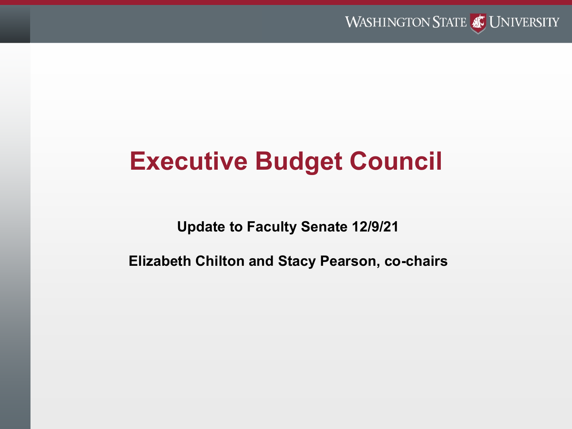

# **Executive Budget Council**

**Update to Faculty Senate 12/9/21**

**Elizabeth Chilton and Stacy Pearson, co-chairs**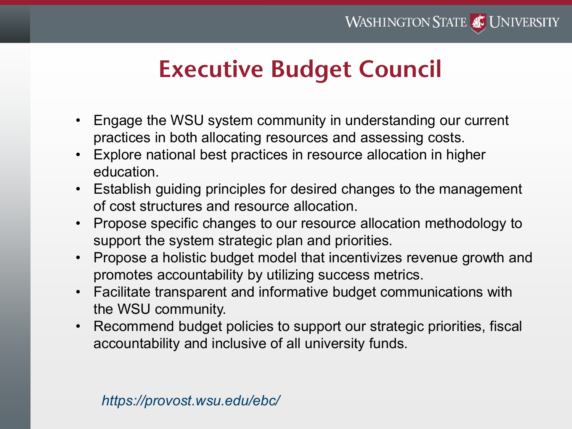# **Executive Budget Council**

- Engage the WSU system community in understanding our current practices in both allocating resources and assessing costs.
- Explore national best practices in resource allocation in higher education.
- Establish guiding principles for desired changes to the management of cost structures and resource allocation.
- Propose specific changes to our resource allocation methodology to support the system strategic plan and priorities.
- Propose a holistic budget model that incentivizes revenue growth and promotes accountability by utilizing success metrics.
- Facilitate transparent and informative budget communications with the WSU community.
- Recommend budget policies to support our strategic priorities, fiscal accountability and inclusive of all university funds.

## *https://provost.wsu.edu/ebc/*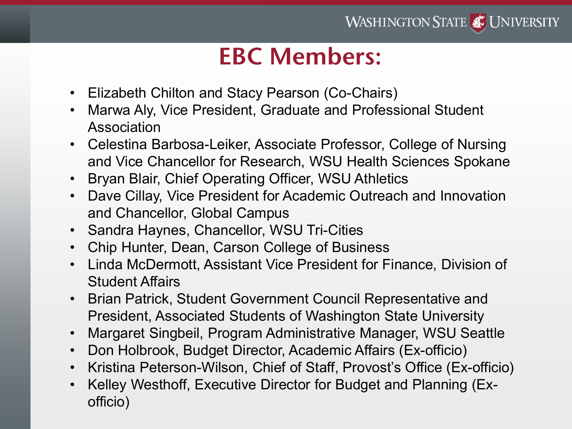# **EBC Members:**

- Elizabeth Chilton and Stacy Pearson (Co-Chairs)
- Marwa Aly, Vice President, Graduate and Professional Student Association
- Celestina Barbosa-Leiker, Associate Professor, College of Nursing and Vice Chancellor for Research, WSU Health Sciences Spokane
- Bryan Blair, Chief Operating Officer, WSU Athletics
- Dave Cillay, Vice President for Academic Outreach and Innovation and Chancellor, Global Campus
- Sandra Haynes, Chancellor, WSU Tri-Cities
- Chip Hunter, Dean, Carson College of Business
- Linda McDermott, Assistant Vice President for Finance, Division of Student Affairs
- Brian Patrick, Student Government Council Representative and President, Associated Students of Washington State University
- Margaret Singbeil, Program Administrative Manager, WSU Seattle
- Don Holbrook, Budget Director, Academic Affairs (Ex-officio)
- Kristina Peterson-Wilson, Chief of Staff, Provost's Office (Ex-officio)
- Kelley Westhoff, Executive Director for Budget and Planning (Exofficio)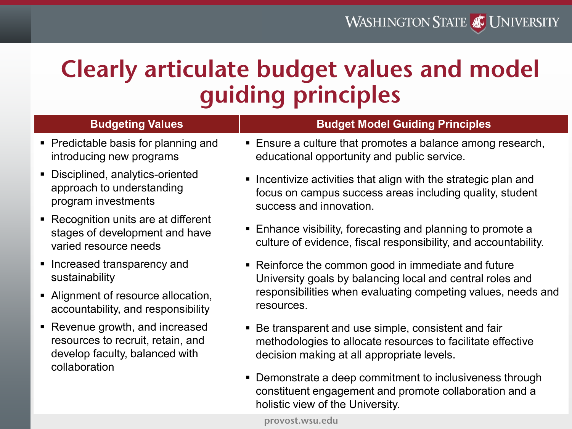# **Clearly articulate budget values and model guiding principles**

## **Budgeting Values**

- Predictable basis for planning and introducing new programs
- Disciplined, analytics-oriented approach to understanding program investments
- Recognition units are at different stages of development and have varied resource needs
- **Increased transparency and** sustainability
- Alignment of resource allocation, accountability, and responsibility
- Revenue growth, and increased resources to recruit, retain, and develop faculty, balanced with collaboration

## **Budget Model Guiding Principles**

- **Ensure a culture that promotes a balance among research,** educational opportunity and public service.
- **Incentivize activities that align with the strategic plan and** focus on campus success areas including quality, student success and innovation.
- Enhance visibility, forecasting and planning to promote a culture of evidence, fiscal responsibility, and accountability.
- Reinforce the common good in immediate and future University goals by balancing local and central roles and responsibilities when evaluating competing values, needs and resources.
- Be transparent and use simple, consistent and fair methodologies to allocate resources to facilitate effective decision making at all appropriate levels.
- **Demonstrate a deep commitment to inclusiveness through** constituent engagement and promote collaboration and a holistic view of the University.

**provost.wsu.edu**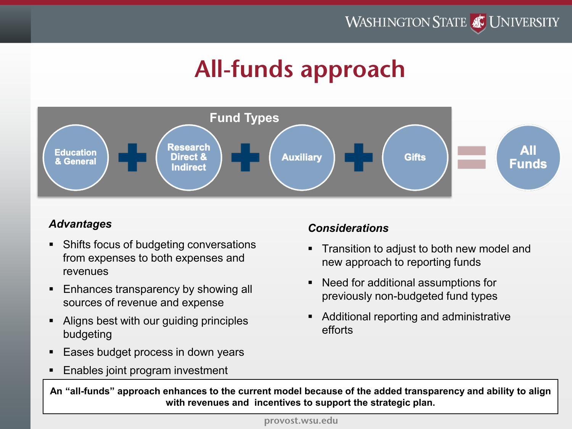# **All-funds approach**



## *Advantages*

- Shifts focus of budgeting conversations from expenses to both expenses and revenues
- **Enhances transparency by showing all** sources of revenue and expense
- Aligns best with our guiding principles budgeting
- Eases budget process in down years
- **Enables joint program investment**

## *Considerations*

- Transition to adjust to both new model and new approach to reporting funds
- Need for additional assumptions for previously non-budgeted fund types
- Additional reporting and administrative efforts

**An "all-funds" approach enhances to the current model because of the added transparency and ability to align with revenues and incentives to support the strategic plan.**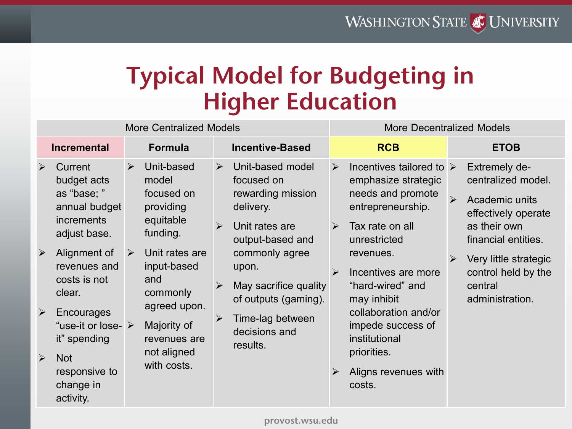# **Typical Model for Budgeting in Higher Education**

| <b>More Centralized Models</b>                                                                                                                                                                                                                                                                                                                                                   |                                                                                                                                                                                                                                                            |                                                                                                                                                                                                                                                                                                                                         | <b>More Decentralized Models</b>                                                                                                                                                                                                                                                                                                                                                                             |                                                                                                                                                                                                                                                            |
|----------------------------------------------------------------------------------------------------------------------------------------------------------------------------------------------------------------------------------------------------------------------------------------------------------------------------------------------------------------------------------|------------------------------------------------------------------------------------------------------------------------------------------------------------------------------------------------------------------------------------------------------------|-----------------------------------------------------------------------------------------------------------------------------------------------------------------------------------------------------------------------------------------------------------------------------------------------------------------------------------------|--------------------------------------------------------------------------------------------------------------------------------------------------------------------------------------------------------------------------------------------------------------------------------------------------------------------------------------------------------------------------------------------------------------|------------------------------------------------------------------------------------------------------------------------------------------------------------------------------------------------------------------------------------------------------------|
| <b>Incremental</b>                                                                                                                                                                                                                                                                                                                                                               | <b>Formula</b>                                                                                                                                                                                                                                             | <b>Incentive-Based</b>                                                                                                                                                                                                                                                                                                                  | <b>RCB</b>                                                                                                                                                                                                                                                                                                                                                                                                   | <b>ETOB</b>                                                                                                                                                                                                                                                |
| Current<br>$\blacktriangleright$<br>budget acts<br>as "base; "<br>annual budget<br><i>increments</i><br>adjust base.<br>Alignment of<br>$\blacktriangleright$<br>revenues and<br>costs is not<br>clear.<br>$\blacktriangleright$<br>Encourages<br>"use-it or lose- $\triangleright$<br>it" spending<br>$\triangleright$<br><b>Not</b><br>responsive to<br>change in<br>activity. | Unit-based<br>$\blacktriangleright$<br>model<br>focused on<br>providing<br>equitable<br>funding.<br>Unit rates are<br>$\blacktriangleright$<br>input-based<br>and<br>commonly<br>agreed upon.<br>Majority of<br>revenues are<br>not aligned<br>with costs. | Unit-based model<br>$\blacktriangleright$<br>focused on<br>rewarding mission<br>delivery.<br>$\blacktriangleright$<br>Unit rates are<br>output-based and<br>commonly agree<br>upon.<br>May sacrifice quality<br>$\blacktriangleright$<br>of outputs (gaming).<br>Time-lag between<br>$\blacktriangleright$<br>decisions and<br>results. | Incentives tailored to $\triangleright$<br>$\blacktriangleright$<br>emphasize strategic<br>needs and promote<br>entrepreneurship.<br>Tax rate on all<br>$\blacktriangleright$<br>unrestricted<br>revenues.<br>Incentives are more<br>$\blacktriangleright$<br>"hard-wired" and<br>may inhibit<br>collaboration and/or<br>impede success of<br>institutional<br>priorities.<br>Aligns revenues with<br>costs. | <b>Extremely de-</b><br>centralized model.<br>$\blacktriangleright$<br>Academic units<br>effectively operate<br>as their own<br>financial entities.<br>Very little strategic<br>$\blacktriangleright$<br>control held by the<br>central<br>administration. |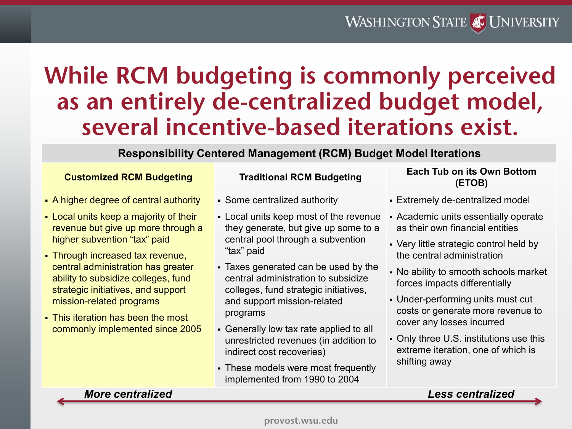## **WASHINGTON STATE AT UNIVERSITY**

## **While RCM budgeting is commonly perceived as an entirely de-centralized budget model, several incentive-based iterations exist.**

### **Responsibility Centered Management (RCM) Budget Model Iterations**

- A higher degree of central authority
- Local units keep a majority of their revenue but give up more through a higher subvention "tax" paid
- Through increased tax revenue, central administration has greater ability to subsidize colleges, fund strategic initiatives, and support mission-related programs
- This iteration has been the most commonly implemented since 2005

- Some centralized authority
- Local units keep most of the revenue they generate, but give up some to a central pool through a subvention "tax" paid
- Taxes generated can be used by the central administration to subsidize colleges, fund strategic initiatives, and support mission-related programs
- Generally low tax rate applied to all unrestricted revenues (in addition to indirect cost recoveries)
- These models were most frequently implemented from 1990 to 2004

### **Customized RCM Budgeting Traditional RCM Budgeting Each Tub on its Own Bottom (ETOB)**

- Extremely de-centralized model
- Academic units essentially operate as their own financial entities
- Very little strategic control held by the central administration
- No ability to smooth schools market forces impacts differentially
- Under-performing units must cut costs or generate more revenue to cover any losses incurred
- Only three U.S. institutions use this extreme iteration, one of which is shifting away

#### *More centralized Less centralized*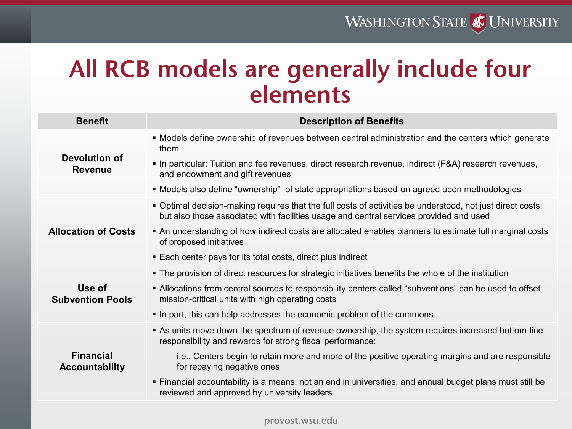# **All RCB models are generally include four elements**

| <b>Benefit</b>                    | <b>Description of Benefits</b>                                                                                                                                                                       |
|-----------------------------------|------------------------------------------------------------------------------------------------------------------------------------------------------------------------------------------------------|
|                                   | • Models define ownership of revenues between central administration and the centers which generate<br>them                                                                                          |
| Devolution of<br><b>Revenue</b>   | • In particular: Tuition and fee revenues, direct research revenue, indirect (F&A) research revenues,<br>and endowment and gift revenues                                                             |
|                                   | • Models also define "ownership" of state appropriations based-on agreed upon methodologies                                                                                                          |
|                                   | . Optimal decision-making requires that the full costs of activities be understood, not just direct costs,<br>but also those associated with facilities usage and central services provided and used |
| <b>Allocation of Costs</b>        | • An understanding of how indirect costs are allocated enables planners to estimate full marginal costs<br>of proposed initiatives                                                                   |
|                                   | ■ Each center pays for its total costs, direct plus indirect                                                                                                                                         |
|                                   | • The provision of direct resources for strategic initiatives benefits the whole of the institution                                                                                                  |
| Use of<br><b>Subvention Pools</b> | • Allocations from central sources to responsibility centers called "subventions" can be used to offset<br>mission-critical units with high operating costs                                          |
|                                   | In part, this can help addresses the economic problem of the commons                                                                                                                                 |
|                                   | As units move down the spectrum of revenue ownership, the system requires increased bottom-line                                                                                                      |
| <b>Financial</b>                  | responsibility and rewards for strong fiscal performance:                                                                                                                                            |
| <b>Accountability</b>             | - i.e., Centers begin to retain more and more of the positive operating margins and are responsible<br>for repaying negative ones                                                                    |
|                                   | • Financial accountability is a means, not an end in universities, and annual budget plans must still be<br>reviewed and approved by university leaders                                              |
|                                   |                                                                                                                                                                                                      |